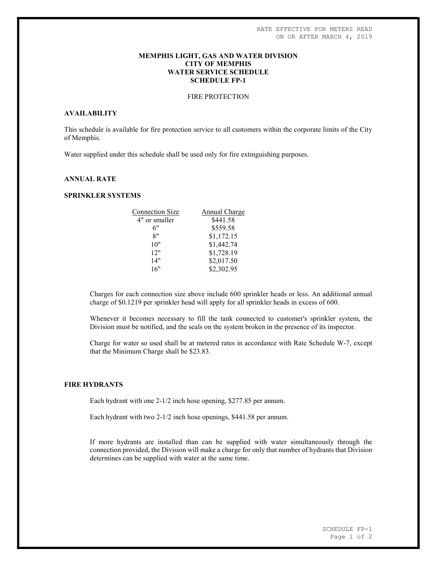## MEMPHIS LIGHT, GAS AND WATER DIVISION CITY OF MEMPHIS WATER SERVICE SCHEDULE SCHEDULE FP-1

# FIRE PROTECTION

# AVAILABILITY

This schedule is available for fire protection service to all customers within the corporate limits of the City of Memphis.

Water supplied under this schedule shall be used only for fire extinguishing purposes.

# ANNUAL RATE

## SPRINKLER SYSTEMS

| <b>Connection Size</b> | Annual Charge |
|------------------------|---------------|
| 4" or smaller          | \$441.58      |
| 6"                     | \$559.58      |
| 8"                     | \$1,172.15    |
| 10"                    | \$1,442.74    |
| 12"                    | \$1,728.19    |
| 14"                    | \$2,017.50    |
| 16"                    | \$2,302.95    |
|                        |               |

Charges for each connection size above include 600 sprinkler heads or less. An additional annual charge of \$0.1219 per sprinkler head will apply for all sprinkler heads in excess of 600.

Whenever it becomes necessary to fill the tank connected to customer's sprinkler system, the Division must be notified, and the seals on the system broken in the presence of its inspector.

Charge for water so used shall be at metered rates in accordance with Rate Schedule W-7, except that the Minimum Charge shall be \$23.83.

### FIRE HYDRANTS

Each hydrant with one 2-1/2 inch hose opening, \$277.85 per annum.

Each hydrant with two 2-1/2 inch hose openings, \$441.58 per annum.

If more hydrants are installed than can be supplied with water simultaneously through the connection provided, the Division will make a charge for only that number of hydrants that Division determines can be supplied with water at the same time.